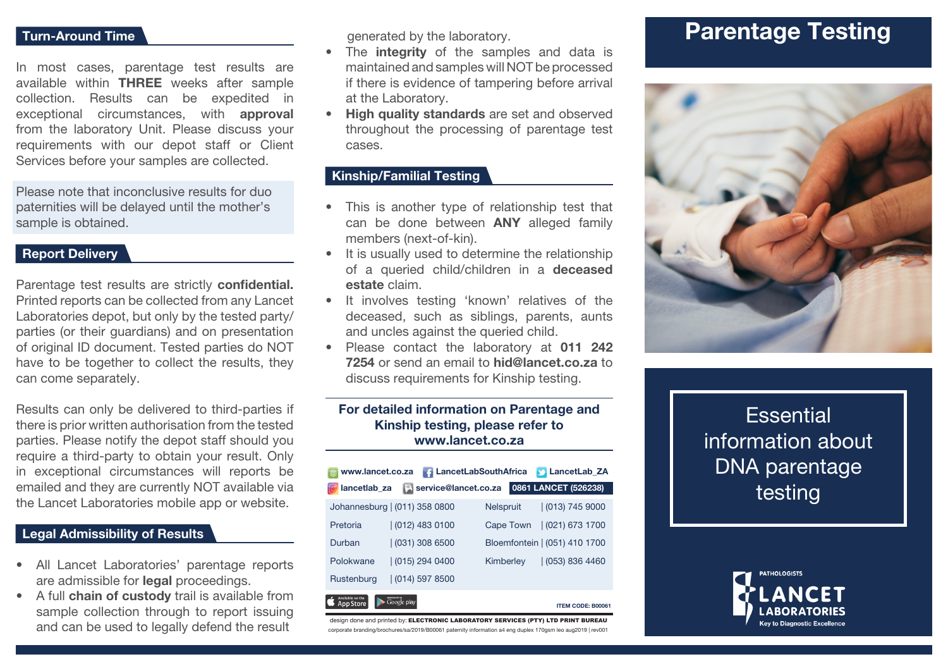#### Turn-Around Time

In most cases, parentage test results are available within THREE weeks after sample collection. Results can be expedited in exceptional circumstances, with approval from the laboratory Unit. Please discuss your requirements with our depot staff or Client Services before your samples are collected.

Please note that inconclusive results for duo paternities will be delayed until the mother's sample is obtained.

#### Report Delivery

Parentage test results are strictly confidential. Printed reports can be collected from any Lancet Laboratories depot, but only by the tested party/ parties (or their guardians) and on presentation of original ID document. Tested parties do NOT have to be together to collect the results, they can come separately.

Results can only be delivered to third-parties if there is prior written authorisation from the tested parties. Please notify the depot staff should you require a third-party to obtain your result. Only in exceptional circumstances will reports be emailed and they are currently NOT available via the Lancet Laboratories mobile app or website.

#### Legal Admissibility of Results

- All Lancet Laboratories' parentage reports are admissible for legal proceedings.
- A full chain of custody trail is available from sample collection through to report issuing esign done and printed by: **ELECTRONIC LABORATORY SERVICES (PTY) LTD PRINT BUREAU**<br>and can be used to legally defend the result corporate branding/brochures/sa/2019/B00061 paternity information a4 eng duplex 170gsm leo aug

generated by the laboratory.

- The **integrity** of the samples and data is maintained and samples will NOT be processed if there is evidence of tampering before arrival at the Laboratory.
- High quality standards are set and observed throughout the processing of parentage test cases.

#### Kinship/Familial Testing

- This is another type of relationship test that can be done between ANY alleged family members (next-of-kin).
- It is usually used to determine the relationship of a queried child/children in a deceased estate claim.
- It involves testing 'known' relatives of the deceased, such as siblings, parents, aunts and uncles against the queried child.
- Please contact the laboratory at 011 242 7254 or send an email to hid@lancet.co.za to discuss requirements for Kinship testing.

#### For detailed information on Parentage and Kinship testing, please refer to www.lancet.co.za

| www.lancet.co.za              |                |                  | <b>Exercice LabSouthAfrica</b> |  | LancetLab_ZA                  |
|-------------------------------|----------------|------------------|--------------------------------|--|-------------------------------|
| <b>o</b> lancetlab_za         |                |                  | service@lancet.co.za           |  | 0861 LANCET (526238)          |
| Johannesburg   (011) 358 0800 |                |                  | <b>Nelspruit</b>               |  | $(013)$ 745 9000              |
| Pretoria                      |                | $(012)$ 483 0100 | Cape Town                      |  | $(021)$ 673 1700              |
| Durban                        |                | (031) 308 6500   |                                |  | Bloemfontein   (051) 410 1700 |
| Polokwane                     |                | $(015)$ 294 0400 | Kimberley                      |  | (053) 836 4460                |
| Rustenburg                    |                | $(014)$ 597 8500 |                                |  |                               |
| Le Available on the           | ANDROID APP ON |                  |                                |  |                               |

## corporate branding/brochures/sa/2019/B00061 paternity information a4 eng duplex 170gsm leo aug2019 | rev00

ITEM CODE: B0006

## Parentage Testing



# **Essential** information about DNA parentage testing